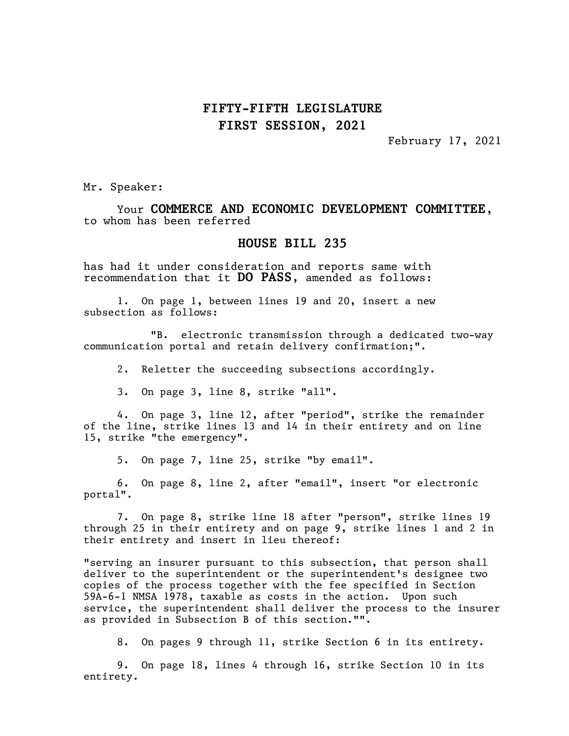February 17, 2021

Mr. Speaker:

Your COMMERCE AND ECONOMIC DEVELOPMENT COMMITTEE, to whom has been referred

#### HOUSE BILL 235

has had it under consideration and reports same with recommendation that it DO PASS, amended as follows:

1. On page 1, between lines 19 and 20, insert a new subsection as follows:

"B. electronic transmission through a dedicated two-way communication portal and retain delivery confirmation;".

2. Reletter the succeeding subsections accordingly.

3. On page 3, line 8, strike "all".

4. On page 3, line 12, after "period", strike the remainder of the line, strike lines 13 and 14 in their entirety and on line 15, strike "the emergency".

5. On page 7, line 25, strike "by email".

6. On page 8, line 2, after "email", insert "or electronic portal".

7. On page 8, strike line 18 after "person", strike lines 19 through 25 in their entirety and on page 9, strike lines 1 and 2 in their entirety and insert in lieu thereof:

"serving an insurer pursuant to this subsection, that person shall deliver to the superintendent or the superintendent's designee two copies of the process together with the fee specified in Section 59A-6-1 NMSA 1978, taxable as costs in the action. Upon such service, the superintendent shall deliver the process to the insurer as provided in Subsection B of this section."".

8. On pages 9 through 11, strike Section 6 in its entirety.

9. On page 18, lines 4 through 16, strike Section 10 in its entirety.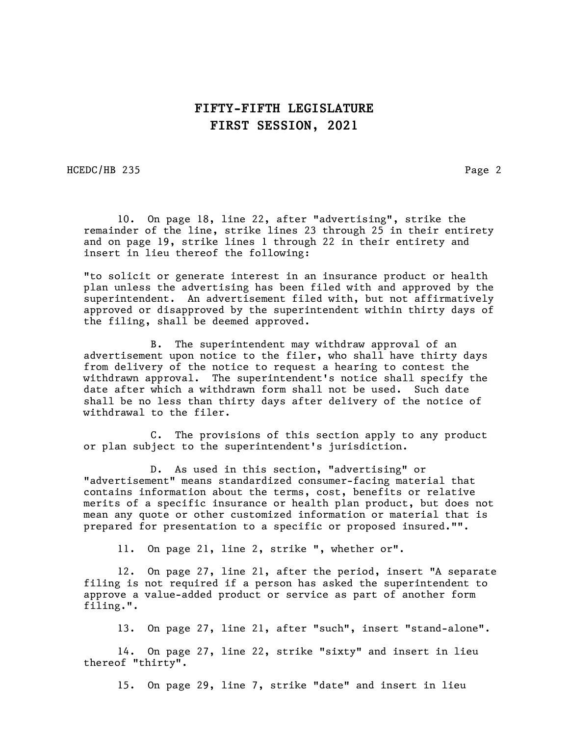HCEDC/HB 235 Page 2

10. On page 18, line 22, after "advertising", strike the remainder of the line, strike lines 23 through 25 in their entirety and on page 19, strike lines 1 through 22 in their entirety and insert in lieu thereof the following:

"to solicit or generate interest in an insurance product or health plan unless the advertising has been filed with and approved by the superintendent. An advertisement filed with, but not affirmatively approved or disapproved by the superintendent within thirty days of the filing, shall be deemed approved.

B. The superintendent may withdraw approval of an advertisement upon notice to the filer, who shall have thirty days from delivery of the notice to request a hearing to contest the withdrawn approval. The superintendent's notice shall specify the date after which a withdrawn form shall not be used. Such date shall be no less than thirty days after delivery of the notice of withdrawal to the filer.

C. The provisions of this section apply to any product or plan subject to the superintendent's jurisdiction.

D. As used in this section, "advertising" or "advertisement" means standardized consumer-facing material that contains information about the terms, cost, benefits or relative merits of a specific insurance or health plan product, but does not mean any quote or other customized information or material that is prepared for presentation to a specific or proposed insured."".

11. On page 21, line 2, strike ", whether or".

12. On page 27, line 21, after the period, insert "A separate filing is not required if a person has asked the superintendent to approve a value-added product or service as part of another form filing.".

13. On page 27, line 21, after "such", insert "stand-alone".

14. On page 27, line 22, strike "sixty" and insert in lieu thereof "thirty".

15. On page 29, line 7, strike "date" and insert in lieu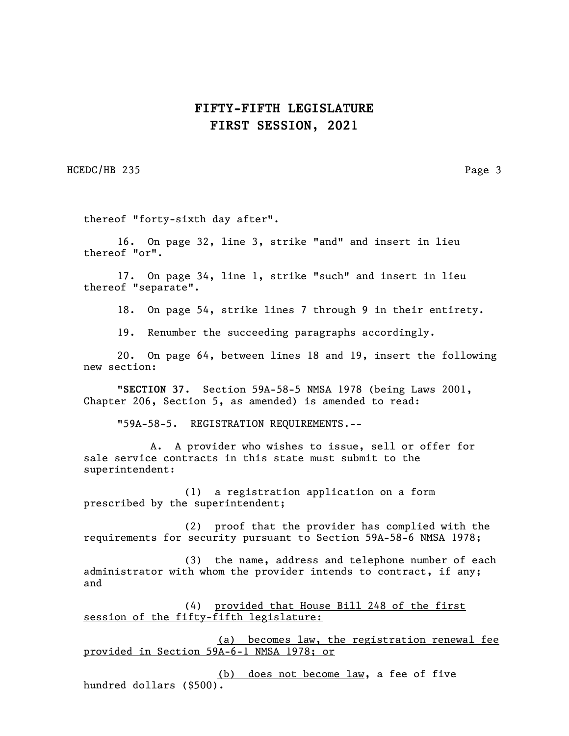HCEDC/HB 235 Page 3

thereof "forty-sixth day after".

16. On page 32, line 3, strike "and" and insert in lieu thereof "or".

17. On page 34, line 1, strike "such" and insert in lieu thereof "separate".

18. On page 54, strike lines 7 through 9 in their entirety.

19. Renumber the succeeding paragraphs accordingly.

20. On page 64, between lines 18 and 19, insert the following new section:

"SECTION 37. Section 59A-58-5 NMSA 1978 (being Laws 2001, Chapter 206, Section 5, as amended) is amended to read:

"59A-58-5. REGISTRATION REQUIREMENTS.--

A. A provider who wishes to issue, sell or offer for sale service contracts in this state must submit to the superintendent:

(1) a registration application on a form prescribed by the superintendent;

(2) proof that the provider has complied with the requirements for security pursuant to Section 59A-58-6 NMSA 1978;

(3) the name, address and telephone number of each administrator with whom the provider intends to contract, if any; and

(4) provided that House Bill 248 of the first session of the fifty-fifth legislature:

(a) becomes law, the registration renewal fee provided in Section 59A-6-1 NMSA 1978; or

(b) does not become law, a fee of five hundred dollars (\$500).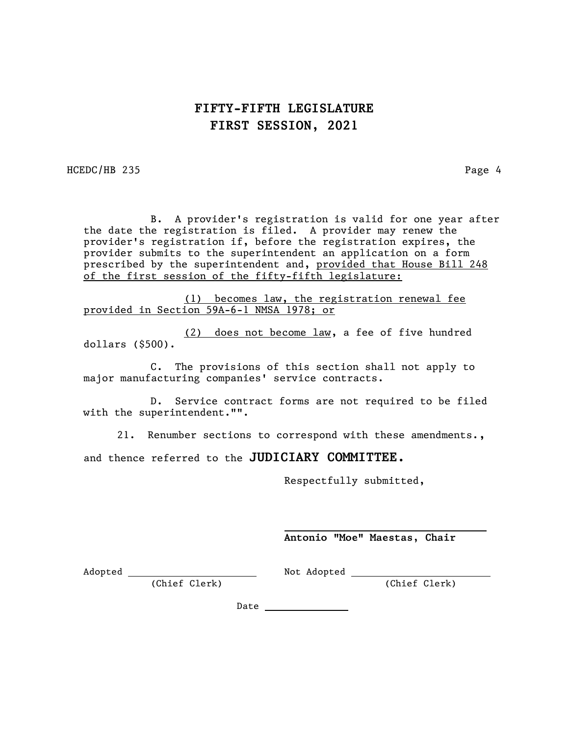HCEDC/HB 235 Page 4

B. A provider's registration is valid for one year after the date the registration is filed. A provider may renew the provider's registration if, before the registration expires, the provider submits to the superintendent an application on a form prescribed by the superintendent and, provided that House Bill 248 of the first session of the fifty-fifth legislature:

(1) becomes law, the registration renewal fee provided in Section 59A-6-1 NMSA 1978; or

(2) does not become law, a fee of five hundred dollars (\$500).

C. The provisions of this section shall not apply to major manufacturing companies' service contracts.

D. Service contract forms are not required to be filed with the superintendent."".

21. Renumber sections to correspond with these amendments.,

and thence referred to the JUDICIARY COMMITTEE.

Respectfully submitted,

Antonio "Moe" Maestas, Chair

Adopted Not Adopted

(Chief Clerk) (Chief Clerk)

Date